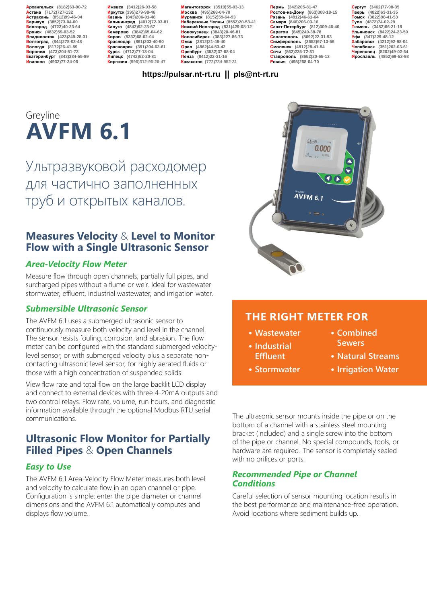**Архангельск (8182)63-90-72 Астана (7172)727-132 Астрахань (8512)99-46-04 Барнаул (3852)73-04-60 Белгород (4722)40-23-64 Брянск (4832)59-03-52 Владивосток (423)249-28-31 Волгоград (844)278-03-48 Вологда (8172)26-41-59 Воронеж (473)204-51-73 Екатеринбург (343)384-55-89 Иваново (4932)77-34-06**

**Ижевск (3412)26-03-58 Иркутск (395)279-98-46 Казань (843)206-01-48 Калининград (4012)72-03-81 Калуга (4842)92-23-67 Кемерово (3842)65-04-62 Киров (8332)68-02-04 Краснодар (861)203-40-90 Красноярск (391)204-63-61 Курск (4712)77-13-04 Липецк (4742)52-20-81 Киргизия (996)312-96-26-47**

**Магнитогорск (3519)55-03-13 Москва (495)268-04-70 Мурманск (8152)59-64-93 Набережные Челны (8552)20-53-41 Нижний Новгород (831)429-08-12 Новокузнецк (3843)20-46-81 Новосибирск (383)227-86-73 Омск (3812)21-46-40 Орел (4862)44-53-42 Оренбург (3532)37-68-04 Пенза (8412)22-31-16 Казахстан (772)734-952-31**

**Пермь (342)205-81-47 Ростов-на-Дону (863)308-18-15 Рязань (4912)46-61-64 Самара (846)206-03-16 Санкт-Петербург (812)309-46-40 Саратов (845)249-38-78 Севастополь (8692)22-31-93 Симферополь (3652)67-13-56 Смоленск (4812)29-41-54 Сочи (862)225-72-31 Ставрополь (8652)20-65-13 Россия (495)268-04-70**

**Сургут (3462)77-98-35 Тверь (4822)63-31-35 Томск (3822)98-41-53 Тула (4872)74-02-29 Тюмень (3452)66-21-18 Ульяновск (8422)24-23-59 Уфа (347)229-48-12 Хабаровск (4212)92-98-04 Челябинск (351)202-03-61 Череповец (8202)49-02-64 Ярославль (4852)69-52-93** 

#### **https://pulsar.nt-rt.ru || pls@nt-rt.ru**

# **AVFM 6.1** Greyline

Ультразвуковой расходомер для частично заполненных труб и открытых каналов.

### **Measures Velocity** & **Level to Monitor Flow with a Single Ultrasonic Sensor**

#### *Area-Velocity Flow Meter*

Measure flow through open channels, partially full pipes, and surcharged pipes without a flume or weir. Ideal for wastewater stormwater, effluent, industrial wastewater, and irrigation water.

#### *Submersible Ultrasonic Sensor*

The AVFM 6.1 uses a submerged ultrasonic sensor to continuously measure both velocity and level in the channel. The sensor resists fouling, corrosion, and abrasion. The flow meter can be configured with the standard submerged velocitylevel sensor, or with submerged velocity plus a separate noncontacting ultrasonic level sensor, for highly aerated fluids or those with a high concentration of suspended solids.

View flow rate and total flow on the large backlit LCD display and connect to external devices with three 4-20mA outputs and two control relays. Flow rate, volume, run hours, and diagnostic information available through the optional Modbus RTU serial communications.

## **Ultrasonic Flow Monitor for Partially Filled Pipes** & **Open Channels**

#### *Easy to Use*

The AVFM 6.1 Area-Velocity Flow Meter measures both level and velocity to calculate flow in an open channel or pipe. Configuration is simple: enter the pipe diameter or channel dimensions and the AVFM 6.1 automatically computes and displays flow volume.



## **THE RIGHT METER FOR**

- **• Wastewater**
- **• Industrial Effluent**
- **• Stormwater**
- **• Combined Sewers**
- **• Natural Streams**
- **• Irrigation Water**

The ultrasonic sensor mounts inside the pipe or on the bottom of a channel with a stainless steel mounting bracket (included) and a single screw into the bottom of the pipe or channel. No special compounds, tools, or hardware are required. The sensor is completely sealed with no orifices or ports.

#### *Recommended Pipe or Channel Conditions*

Careful selection of sensor mounting location results in the best performance and maintenance-free operation. Avoid locations where sediment builds up.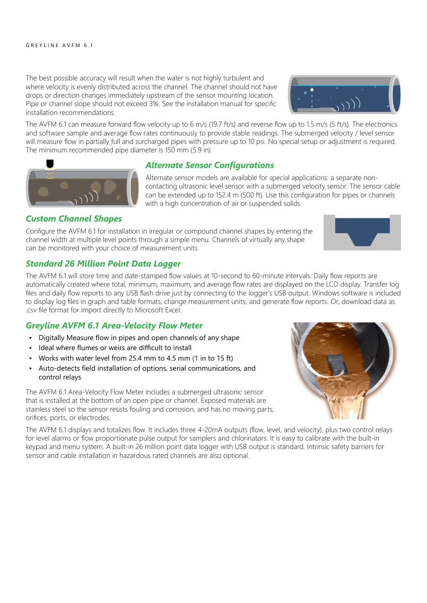The best possible accuracy will result when the water is not highly turbulent and where velocity is evenly distributed across the channel. The channel should not have drops or direction changes immediately upstream of the sensor mounting location. Pipe or channel slope should not exceed 3%. See the installation manual for specific installation recommendations.

The AVFM 6.1 can measure forward flow velocity up to 6 m/s (19.7 ft/s) and reverse flow up to 1.5 m/s (5 ft/s). The electronics and software sample and average flow rates continuously to provide stable readings. The submerged velocity / level sensor will measure flow in partially full and surcharged pipes with pressure up to 10 psi. No special setup or adjustment is required. The minimum recommended pipe diameter is 150 mm (5.9 in).



Alternate sensor models are available for special applications: a separate noncontacting ultrasonic level sensor with a submerged velocity sensor. The sensor cable can be extended up to 152.4 m (500 ft). Use this configuration for pipes or channels with a high concentration of air or suspended solids.

#### *Custom Channel Shapes*

Configure the AVFM 6.1 for installation in irregular or compound channel shapes by entering the channel width at multiple level points through a simple menu. Channels of virtually any shape can be monitored with your choice of measurement units.

#### *Standard 26 Million Point Data Logger*

The AVFM 6.1 will store time and date-stamped flow values at 10-second to 60-minute intervals. Daily flow reports are automatically created where total, minimum, maximum, and average flow rates are displayed on the LCD display. Transfer log files and daily flow reports to any USB flash drive just by connecting to the logger's USB output. Windows software is included to display log files in graph and table formats, change measurement units, and generate flow reports. Or, download data as .csv file format for import directly to Microsoft Excel.

#### *Greyline AVFM 6.1 Area-Velocity Flow Meter*

- Digitally Measure flow in pipes and open channels of any shape
- Ideal where flumes or weirs are difficult to install
- Works with water level from 25.4 mm to 4.5 mm (1 in to 15 ft)
- Auto-detects field installation of options, serial communications, and control relays

The AVFM 6.1 Area-Velocity Flow Meter includes a submerged ultrasonic sensor that is installed at the bottom of an open pipe or channel. Exposed materials are stainless steel so the sensor resists fouling and corrosion, and has no moving parts, orifices, ports, or electrodes.

The AVFM 6.1 displays and totalizes flow. It includes three 4-20mA outputs (flow, level, and velocity), plus two control relays for level alarms or flow proportionate pulse output for samplers and chlorinators. It is easy to calibrate with the built-in keypad and menu system. A built-in 26 million point data logger with USB output is standard. Intrinsic safety barriers for sensor and cable installation in hazardous rated channels are also optional.





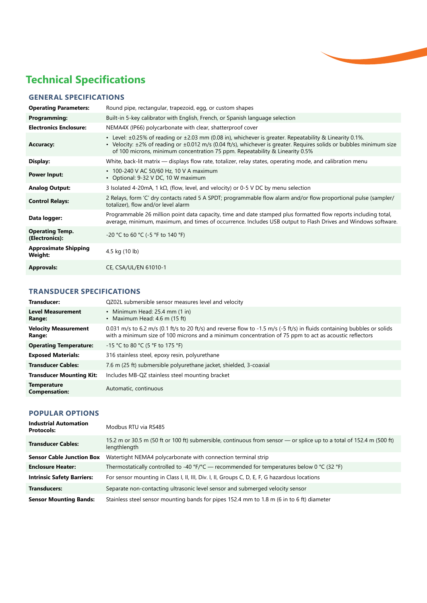

## **Technical Specifications**

#### **GENERAL SPECIFICATIONS**

| <b>Operating Parameters:</b>             | Round pipe, rectangular, trapezoid, egg, or custom shapes                                                                                                                                                                                                                                                      |
|------------------------------------------|----------------------------------------------------------------------------------------------------------------------------------------------------------------------------------------------------------------------------------------------------------------------------------------------------------------|
| Programming:                             | Built-in 5-key calibrator with English, French, or Spanish language selection                                                                                                                                                                                                                                  |
| <b>Electronics Enclosure:</b>            | NEMA4X (IP66) polycarbonate with clear, shatterproof cover                                                                                                                                                                                                                                                     |
| <b>Accuracy:</b>                         | • Level: ±0.25% of reading or ±2.03 mm (0.08 in), whichever is greater. Repeatability & Linearity 0.1%.<br>• Velocity: ±2% of reading or ±0.012 m/s (0.04 ft/s), whichever is greater. Requires solids or bubbles minimum size<br>of 100 microns, minimum concentration 75 ppm. Repeatability & Linearity 0.5% |
| Display:                                 | White, back-lit matrix — displays flow rate, totalizer, relay states, operating mode, and calibration menu                                                                                                                                                                                                     |
| <b>Power Input:</b>                      | • 100-240 V AC 50/60 Hz, 10 V A maximum<br>• Optional: 9-32 V DC, 10 W maximum                                                                                                                                                                                                                                 |
| <b>Analog Output:</b>                    | 3 Isolated 4-20mA, 1 k $\Omega$ , (flow, level, and velocity) or 0-5 V DC by menu selection                                                                                                                                                                                                                    |
| <b>Control Relays:</b>                   | 2 Relays, form 'C' dry contacts rated 5 A SPDT; programmable flow alarm and/or flow proportional pulse (sampler/<br>totalizer), flow and/or level alarm                                                                                                                                                        |
| Data logger:                             | Programmable 26 million point data capacity, time and date stamped plus formatted flow reports including total,<br>average, minimum, maximum, and times of occurrence. Includes USB output to Flash Drives and Windows software.                                                                               |
| <b>Operating Temp.</b><br>(Electronics): | $-20$ °C to 60 °C (-5 °F to 140 °F)                                                                                                                                                                                                                                                                            |
| <b>Approximate Shipping</b><br>Weight:   | 4.5 kg (10 lb)                                                                                                                                                                                                                                                                                                 |
| <b>Approvals:</b>                        | CE, CSA/UL/EN 61010-1                                                                                                                                                                                                                                                                                          |

#### **TRANSDUCER SPECIFICATIONS**

| Transducer:                                | QZ02L submersible sensor measures level and velocity                                                                                                                                                                               |
|--------------------------------------------|------------------------------------------------------------------------------------------------------------------------------------------------------------------------------------------------------------------------------------|
| <b>Level Measurement</b><br>Range:         | • Minimum Head: $25.4$ mm $(1 \text{ in})$<br>• Maximum Head: $4.6$ m (15 ft)                                                                                                                                                      |
| <b>Velocity Measurement</b><br>Range:      | 0.031 m/s to 6.2 m/s (0.1 ft/s to 20 ft/s) and reverse flow to -1.5 m/s (-5 ft/s) in fluids containing bubbles or solids<br>with a minimum size of 100 microns and a minimum concentration of 75 ppm to act as acoustic reflectors |
| <b>Operating Temperature:</b>              | $-15$ °C to 80 °C (5 °F to 175 °F)                                                                                                                                                                                                 |
| <b>Exposed Materials:</b>                  | 316 stainless steel, epoxy resin, polyurethane                                                                                                                                                                                     |
| <b>Transducer Cables:</b>                  | 7.6 m (25 ft) submersible polyurethane jacket, shielded, 3-coaxial                                                                                                                                                                 |
| <b>Transducer Mounting Kit:</b>            | Includes MB-QZ stainless steel mounting bracket                                                                                                                                                                                    |
| <b>Temperature</b><br><b>Compensation:</b> | Automatic, continuous                                                                                                                                                                                                              |

#### **POPULAR OPTIONS**

| <b>Industrial Automation</b><br><b>Protocols:</b> | Modbus RTU via RS485                                                                                                                 |
|---------------------------------------------------|--------------------------------------------------------------------------------------------------------------------------------------|
| <b>Transducer Cables:</b>                         | 15.2 m or 30.5 m (50 ft or 100 ft) submersible, continuous from sensor — or splice up to a total of 152.4 m (500 ft)<br>lengthlength |
| <b>Sensor Cable Junction Box</b>                  | Watertight NEMA4 polycarbonate with connection terminal strip                                                                        |
| <b>Enclosure Heater:</b>                          | Thermostatically controlled to -40 °F/°C — recommended for temperatures below 0 °C (32 °F)                                           |
| <b>Intrinsic Safety Barriers:</b>                 | For sensor mounting in Class I, II, III, Div. I, II, Groups C, D, E, F, G hazardous locations                                        |
| <b>Transducers:</b>                               | Separate non-contacting ultrasonic level sensor and submerged velocity sensor                                                        |
| <b>Sensor Mounting Bands:</b>                     | Stainless steel sensor mounting bands for pipes 152.4 mm to 1.8 m (6 in to 6 ft) diameter                                            |